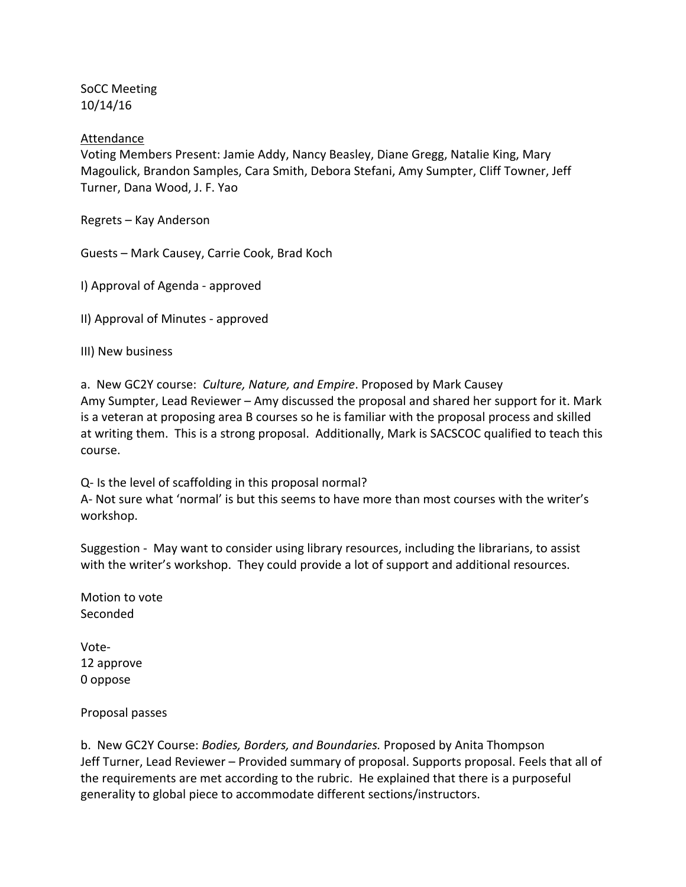SoCC Meeting 10/14/16

Attendance

Voting Members Present: Jamie Addy, Nancy Beasley, Diane Gregg, Natalie King, Mary Magoulick, Brandon Samples, Cara Smith, Debora Stefani, Amy Sumpter, Cliff Towner, Jeff Turner, Dana Wood, J. F. Yao

Regrets – Kay Anderson

Guests – Mark Causey, Carrie Cook, Brad Koch

I) Approval of Agenda ‐ approved

II) Approval of Minutes ‐ approved

III) New business

a. New GC2Y course: *Culture, Nature, and Empire*. Proposed by Mark Causey Amy Sumpter, Lead Reviewer – Amy discussed the proposal and shared her support for it. Mark is a veteran at proposing area B courses so he is familiar with the proposal process and skilled at writing them. This is a strong proposal. Additionally, Mark is SACSCOC qualified to teach this course.

Q‐ Is the level of scaffolding in this proposal normal? A‐ Not sure what 'normal' is but this seems to have more than most courses with the writer's workshop.

Suggestion - May want to consider using library resources, including the librarians, to assist with the writer's workshop. They could provide a lot of support and additional resources.

Motion to vote Seconded

Vote‐ 12 approve 0 oppose

Proposal passes

b. New GC2Y Course: *Bodies, Borders, and Boundaries.* Proposed by Anita Thompson Jeff Turner, Lead Reviewer – Provided summary of proposal. Supports proposal. Feels that all of the requirements are met according to the rubric. He explained that there is a purposeful generality to global piece to accommodate different sections/instructors.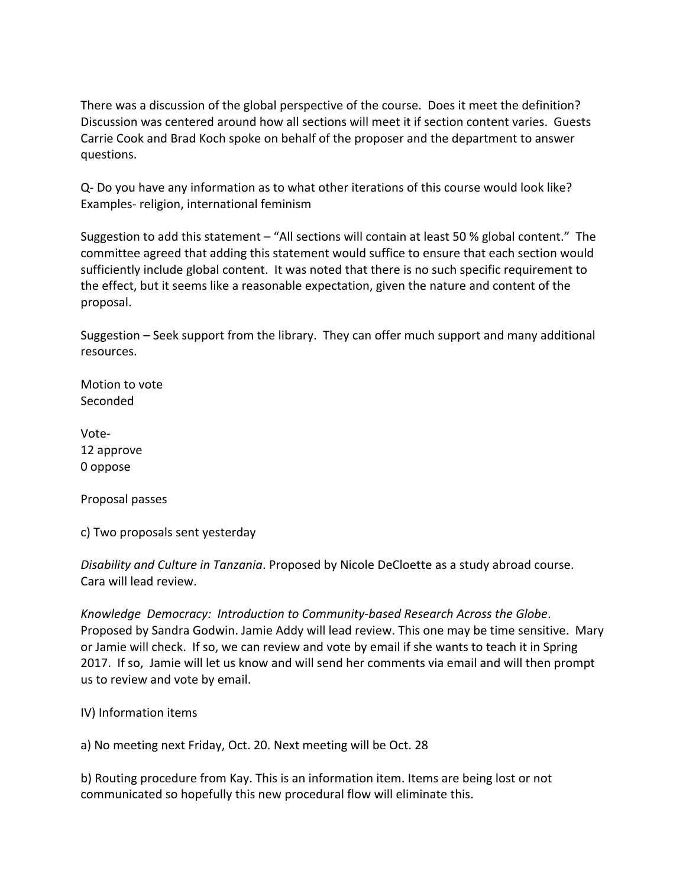There was a discussion of the global perspective of the course. Does it meet the definition? Discussion was centered around how all sections will meet it if section content varies. Guests Carrie Cook and Brad Koch spoke on behalf of the proposer and the department to answer questions.

Q‐ Do you have any information as to what other iterations of this course would look like? Examples‐ religion, international feminism

Suggestion to add this statement – "All sections will contain at least 50 % global content." The committee agreed that adding this statement would suffice to ensure that each section would sufficiently include global content. It was noted that there is no such specific requirement to the effect, but it seems like a reasonable expectation, given the nature and content of the proposal.

Suggestion – Seek support from the library. They can offer much support and many additional resources.

Motion to vote Seconded

Vote‐ 12 approve 0 oppose

Proposal passes

c) Two proposals sent yesterday

*Disability and Culture in Tanzania*. Proposed by Nicole DeCloette as a study abroad course. Cara will lead review.

*Knowledge Democracy: Introduction to Community‐based Research Across the Globe*. Proposed by Sandra Godwin. Jamie Addy will lead review. This one may be time sensitive. Mary or Jamie will check. If so, we can review and vote by email if she wants to teach it in Spring 2017. If so, Jamie will let us know and will send her comments via email and will then prompt us to review and vote by email.

IV) Information items

a) No meeting next Friday, Oct. 20. Next meeting will be Oct. 28

b) Routing procedure from Kay. This is an information item. Items are being lost or not communicated so hopefully this new procedural flow will eliminate this.